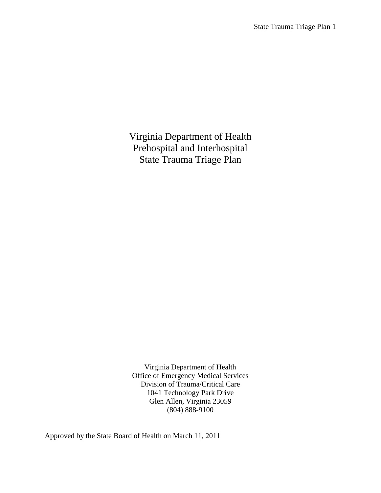Virginia Department of Health Prehospital and Interhospital State Trauma Triage Plan

Virginia Department of Health Office of Emergency Medical Services Division of Trauma/Critical Care 1041 Technology Park Drive Glen Allen, Virginia 23059 (804) 888-9100

Approved by the State Board of Health on March 11, 2011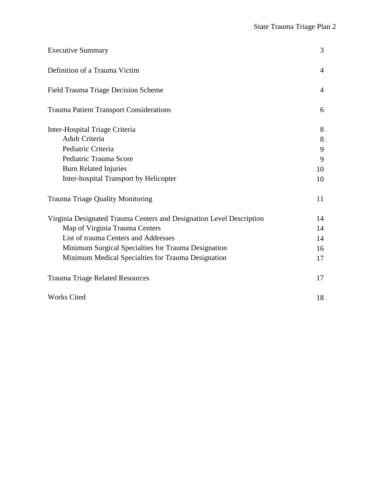| <b>Executive Summary</b>                                             | 3              |
|----------------------------------------------------------------------|----------------|
| Definition of a Trauma Victim                                        | $\overline{4}$ |
| <b>Field Trauma Triage Decision Scheme</b>                           | $\overline{4}$ |
| <b>Trauma Patient Transport Considerations</b>                       | 6              |
| Inter-Hospital Triage Criteria                                       | 8              |
| <b>Adult Criteria</b>                                                | $8\,$          |
| Pediatric Criteria                                                   | 9              |
| Pediatric Trauma Score                                               | 9              |
| <b>Burn Related Injuries</b>                                         | 10             |
| Inter-hospital Transport by Helicopter                               | 10             |
| <b>Trauma Triage Quality Monitoring</b>                              | 11             |
| Virginia Designated Trauma Centers and Designation Level Description | 14             |
| Map of Virginia Trauma Centers                                       | 14             |
| List of trauma Centers and Addresses                                 | 14             |
| Minimum Surgical Specialties for Trauma Designation                  | 16             |
| Minimum Medical Specialties for Trauma Designation                   | 17             |
| <b>Trauma Triage Related Resources</b>                               | 17             |
| <b>Works Cited</b>                                                   | 18             |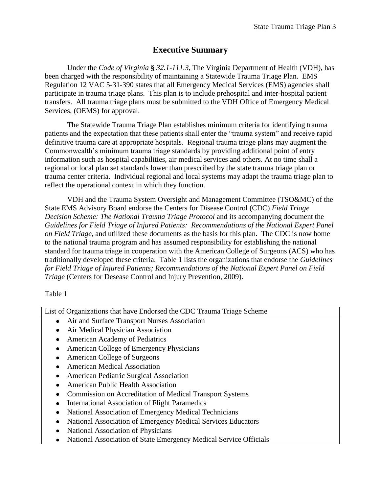# **Executive Summary**

Under the *Code of Virginia* **§** *32.1-111.3*, The Virginia Department of Health (VDH), has been charged with the responsibility of maintaining a Statewide Trauma Triage Plan. EMS Regulation 12 VAC 5-31-390 states that all Emergency Medical Services (EMS) agencies shall participate in trauma triage plans. This plan is to include prehospital and inter-hospital patient transfers. All trauma triage plans must be submitted to the VDH Office of Emergency Medical Services, (OEMS) for approval.

The Statewide Trauma Triage Plan establishes minimum criteria for identifying trauma patients and the expectation that these patients shall enter the "trauma system" and receive rapid definitive trauma care at appropriate hospitals. Regional trauma triage plans may augment the Commonwealth's minimum trauma triage standards by providing additional point of entry information such as hospital capabilities, air medical services and others. At no time shall a regional or local plan set standards lower than prescribed by the state trauma triage plan or trauma center criteria. Individual regional and local systems may adapt the trauma triage plan to reflect the operational context in which they function.

VDH and the Trauma System Oversight and Management Committee (TSO&MC) of the State EMS Advisory Board endorse the Centers for Disease Control (CDC) *Field Triage Decision Scheme: The National Trauma Triage Protocol* and its accompanying document the *Guidelines for Field Triage of Injured Patients: Recommendations of the National Expert Panel on Field Triage,* and utilized these documents as the basis for this plan. The CDC is now home to the national trauma program and has assumed responsibility for establishing the national standard for trauma triage in cooperation with the American College of Surgeons (ACS) who has traditionally developed these criteria. Table 1 lists the organizations that endorse the *Guidelines for Field Triage of Injured Patients; Recommendations of the National Expert Panel on Field Triage* (Centers for Desease Control and Injury Prevention, 2009).

Table 1

| List of Organizations that have Endorsed the CDC Trauma Triage Scheme |
|-----------------------------------------------------------------------|
| Air and Surface Transport Nurses Association<br>$\bullet$             |
| Air Medical Physician Association<br>٠                                |
| American Academy of Pediatrics<br>٠                                   |
| American College of Emergency Physicians                              |
| American College of Surgeons                                          |
| <b>American Medical Association</b>                                   |
| American Pediatric Surgical Association<br>٠                          |
| <b>American Public Health Association</b><br>$\bullet$                |
| Commission on Accreditation of Medical Transport Systems              |
| <b>International Association of Flight Paramedics</b><br>٠            |
| National Association of Emergency Medical Technicians<br>$\bullet$    |
| National Association of Emergency Medical Services Educators          |
| National Association of Physicians<br>$\bullet$                       |
| National Association of State Emergency Medical Service Officials     |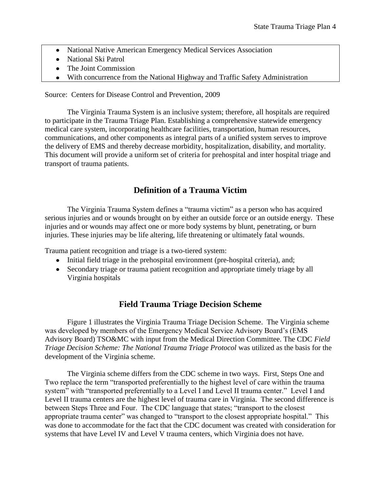- National Native American Emergency Medical Services Association  $\bullet$
- National Ski Patrol
- The Joint Commission
- With concurrence from the National Highway and Traffic Safety Administration

Source: Centers for Disease Control and Prevention, 2009

The Virginia Trauma System is an inclusive system; therefore, all hospitals are required to participate in the Trauma Triage Plan. Establishing a comprehensive statewide emergency medical care system, incorporating healthcare facilities, transportation, human resources, communications, and other components as integral parts of a unified system serves to improve the delivery of EMS and thereby decrease morbidity, hospitalization, disability, and mortality. This document will provide a uniform set of criteria for prehospital and inter hospital triage and transport of trauma patients.

## **Definition of a Trauma Victim**

The Virginia Trauma System defines a "trauma victim" as a person who has acquired serious injuries and or wounds brought on by either an outside force or an outside energy. These injuries and or wounds may affect one or more body systems by blunt, penetrating, or burn injuries. These injuries may be life altering, life threatening or ultimately fatal wounds.

Trauma patient recognition and triage is a two-tiered system:

- Initial field triage in the prehospital environment (pre-hospital criteria), and;
- Secondary triage or trauma patient recognition and appropriate timely triage by all Virginia hospitals

## **Field Trauma Triage Decision Scheme**

Figure 1 illustrates the Virginia Trauma Triage Decision Scheme. The Virginia scheme was developed by members of the Emergency Medical Service Advisory Board's (EMS Advisory Board) TSO&MC with input from the Medical Direction Committee. The CDC *Field Triage Decision Scheme: The National Trauma Triage Protocol* was utilized as the basis for the development of the Virginia scheme.

The Virginia scheme differs from the CDC scheme in two ways. First, Steps One and Two replace the term "transported preferentially to the highest level of care within the trauma system" with "transported preferentially to a Level I and Level II trauma center." Level I and Level II trauma centers are the highest level of trauma care in Virginia. The second difference is between Steps Three and Four. The CDC language that states; "transport to the closest appropriate trauma center" was changed to "transport to the closest appropriate hospital." This was done to accommodate for the fact that the CDC document was created with consideration for systems that have Level IV and Level V trauma centers, which Virginia does not have.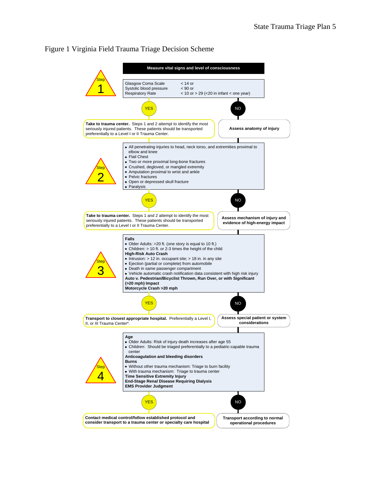#### Figure 1 Virginia Field Trauma Triage Decision Scheme

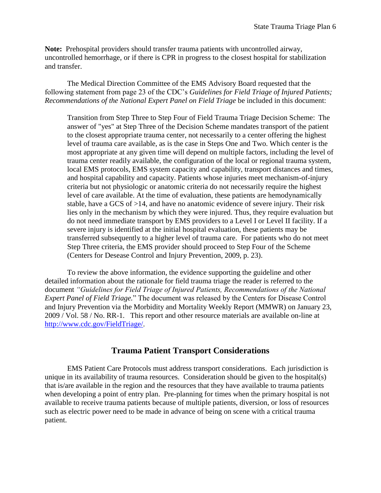**Note:** Prehospital providers should transfer trauma patients with uncontrolled airway, uncontrolled hemorrhage, or if there is CPR in progress to the closest hospital for stabilization and transfer.

The Medical Direction Committee of the EMS Advisory Board requested that the following statement from page 23 of the CDC's *Guidelines for Field Triage of Injured Patients; Recommendations of the National Expert Panel on Field Triage* be included in this document:

Transition from Step Three to Step Four of Field Trauma Triage Decision Scheme:The answer of "yes" at Step Three of the Decision Scheme mandates transport of the patient to the closest appropriate trauma center, not necessarily to a center offering the highest level of trauma care available, as is the case in Steps One and Two. Which center is the most appropriate at any given time will depend on multiple factors, including the level of trauma center readily available, the configuration of the local or regional trauma system, local EMS protocols, EMS system capacity and capability, transport distances and times, and hospital capability and capacity. Patients whose injuries meet mechanism-of-injury criteria but not physiologic or anatomic criteria do not necessarily require the highest level of care available. At the time of evaluation, these patients are hemodynamically stable, have a GCS of >14, and have no anatomic evidence of severe injury. Their risk lies only in the mechanism by which they were injured. Thus, they require evaluation but do not need immediate transport by EMS providers to a Level I or Level II facility. If a severe injury is identified at the initial hospital evaluation, these patients may be transferred subsequently to a higher level of trauma care. For patients who do not meet Step Three criteria, the EMS provider should proceed to Step Four of the Scheme (Centers for Desease Control and Injury Prevention, 2009, p. 23).

To review the above information, the evidence supporting the guideline and other detailed information about the rationale for field trauma triage the reader is referred to the document *"Guidelines for Field Triage of Injured Patients, Recommendations of the National Expert Panel of Field Triage.*" The document was released by the Centers for Disease Control and Injury Prevention via the Morbidity and Mortality Weekly Report (MMWR) on January 23, 2009 / Vol. 58 / No. RR-1. This report and other resource materials are available on-line at [http://www.cdc.gov/FieldTriage/.](http://www.cdc.gov/FieldTriage/)

## **Trauma Patient Transport Considerations**

EMS Patient Care Protocols must address transport considerations. Each jurisdiction is unique in its availability of trauma resources. Consideration should be given to the hospital(s) that is/are available in the region and the resources that they have available to trauma patients when developing a point of entry plan. Pre-planning for times when the primary hospital is not available to receive trauma patients because of multiple patients, diversion, or loss of resources such as electric power need to be made in advance of being on scene with a critical trauma patient.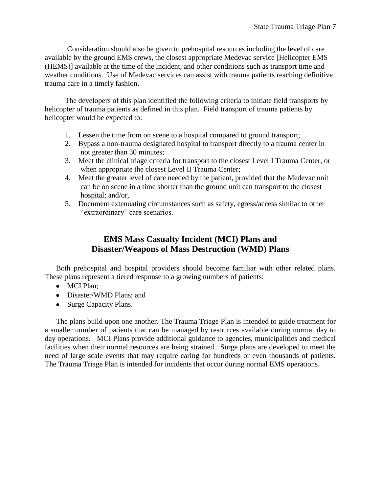Consideration should also be given to prehospital resources including the level of care available by the ground EMS crews, the closest appropriate Medevac service [Helicopter EMS (HEMS)] available at the time of the incident, and other conditions such as transport time and weather conditions. Use of Medevac services can assist with trauma patients reaching definitive trauma care in a timely fashion.

The developers of this plan identified the following criteria to initiate field transports by helicopter of trauma patients as defined in this plan. Field transport of trauma patients by helicopter would be expected to:

- 1. Lessen the time from on scene to a hospital compared to ground transport;
- 2. Bypass a non-trauma designated hospital to transport directly to a trauma center in not greater than 30 minutes;
- 3. Meet the clinical triage criteria for transport to the closest Level I Trauma Center, or when appropriate the closest Level II Trauma Center;
- 4. Meet the greater level of care needed by the patient, provided that the Medevac unit can be on scene in a time shorter than the ground unit can transport to the closest hospital; and/or,
- 5. Document extenuating circumstances such as safety, egress/access similar to other "extraordinary" care scenarios.

# **EMS Mass Casualty Incident (MCI) Plans and Disaster/Weapons of Mass Destruction (WMD) Plans**

Both prehospital and hospital providers should become familiar with other related plans. These plans represent a tiered response to a growing numbers of patients:

- MCI Plan;
- Disaster/WMD Plans; and
- Surge Capacity Plans.

The plans build upon one another. The Trauma Triage Plan is intended to guide treatment for a smaller number of patients that can be managed by resources available during normal day to day operations. MCI Plans provide additional guidance to agencies, municipalities and medical facilities when their normal resources are being strained. Surge plans are developed to meet the need of large scale events that may require caring for hundreds or even thousands of patients. The Trauma Triage Plan is intended for incidents that occur during normal EMS operations.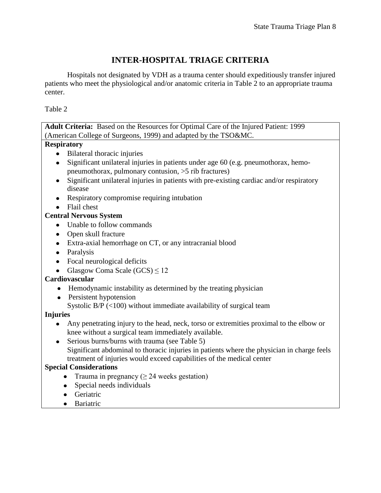# **INTER-HOSPITAL TRIAGE CRITERIA**

Hospitals not designated by VDH as a trauma center should expeditiously transfer injured patients who meet the physiological and/or anatomic criteria in Table 2 to an appropriate trauma center.

Table 2

| Adult Criteria: Based on the Resources for Optimal Care of the Injured Patient: 1999                                                           |
|------------------------------------------------------------------------------------------------------------------------------------------------|
| (American College of Surgeons, 1999) and adapted by the TSO&MC.                                                                                |
| <b>Respiratory</b>                                                                                                                             |
| Bilateral thoracic injuries<br>$\bullet$                                                                                                       |
| Significant unilateral injuries in patients under age 60 (e.g. pneumothorax, hemo-<br>$\bullet$                                                |
| pneumothorax, pulmonary contusion, >5 rib fractures)                                                                                           |
| Significant unilateral injuries in patients with pre-existing cardiac and/or respiratory<br>disease                                            |
| Respiratory compromise requiring intubation                                                                                                    |
| Flail chest                                                                                                                                    |
| <b>Central Nervous System</b>                                                                                                                  |
| Unable to follow commands<br>$\bullet$                                                                                                         |
| Open skull fracture<br>$\bullet$                                                                                                               |
| Extra-axial hemorrhage on CT, or any intracranial blood<br>$\bullet$                                                                           |
| Paralysis<br>$\bullet$                                                                                                                         |
| Focal neurological deficits<br>$\bullet$                                                                                                       |
| Glasgow Coma Scale $(GCS) \le 12$                                                                                                              |
| Cardiovascular                                                                                                                                 |
| Hemodynamic instability as determined by the treating physician                                                                                |
| Persistent hypotension<br>$\bullet$                                                                                                            |
| Systolic B/P $(<$ 100) without immediate availability of surgical team                                                                         |
| <b>Injuries</b>                                                                                                                                |
| Any penetrating injury to the head, neck, torso or extremities proximal to the elbow or<br>knee without a surgical team immediately available. |
| Serious burns/burns with trauma (see Table 5)                                                                                                  |
| Significant abdominal to thoracic injuries in patients where the physician in charge feels                                                     |
| treatment of injuries would exceed capabilities of the medical center                                                                          |
| <b>Special Considerations</b>                                                                                                                  |
| Trauma in pregnancy ( $\geq$ 24 weeks gestation)                                                                                               |
| Special needs individuals                                                                                                                      |
| Geriatric                                                                                                                                      |

• Bariatric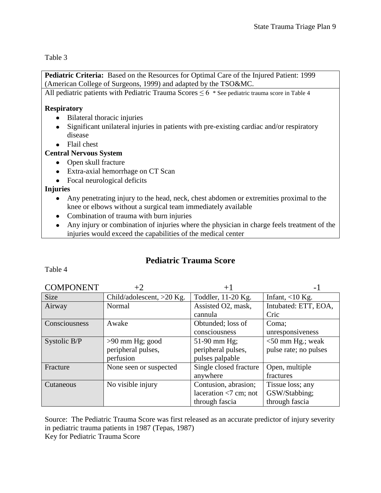Table 3

**Pediatric Criteria:** Based on the Resources for Optimal Care of the Injured Patient: 1999 (American College of Surgeons, 1999) and adapted by the TSO&MC.

All pediatric patients with Pediatric Trauma Scores  $\leq 6$  \* See pediatric trauma score in Table 4

#### **Respiratory**

- Bilateral thoracic injuries
- Significant unilateral injuries in patients with pre-existing cardiac and/or respiratory disease
- Flail chest

### **Central Nervous System**

- Open skull fracture
- Extra-axial hemorrhage on CT Scan
- Focal neurological deficits

### **Injuries**

- Any penetrating injury to the head, neck, chest abdomen or extremities proximal to the knee or elbows without a surgical team immediately available
- Combination of trauma with burn injuries
- Any injury or combination of injuries where the physician in charge feels treatment of the injuries would exceed the capabilities of the medical center

# **Pediatric Trauma Score**

Table 4

| <b>COMPONENT</b> | $+2$                      | $+1$                    | $\overline{\phantom{0}}$ |
|------------------|---------------------------|-------------------------|--------------------------|
| <b>Size</b>      | Child/adolescent, >20 Kg. | Toddler, 11-20 Kg.      | Infant, $<$ 10 Kg.       |
| Airway           | Normal                    | Assisted O2, mask,      | Intubated: ETT, EOA,     |
|                  |                           | cannula                 | Cric                     |
| Consciousness    | Awake                     | Obtunded; loss of       | Coma;                    |
|                  |                           | consciousness           | unresponsiveness         |
| Systolic B/P     | $>90$ mm Hg; good         | 51-90 mm Hg;            | $<$ 50 mm Hg.; weak      |
|                  | peripheral pulses,        | peripheral pulses,      | pulse rate; no pulses    |
|                  | perfusion                 | pulses palpable         |                          |
| Fracture         | None seen or suspected    | Single closed fracture  | Open, multiple           |
|                  |                           | anywhere                | fractures                |
| Cutaneous        | No visible injury         | Contusion, abrasion;    | Tissue loss; any         |
|                  |                           | laceration $<7$ cm; not | GSW/Stabbing;            |
|                  |                           | through fascia          | through fascia           |

Source: The Pediatric Trauma Score was first released as an accurate predictor of injury severity in pediatric trauma patients in 1987 (Tepas, 1987) Key for Pediatric Trauma Score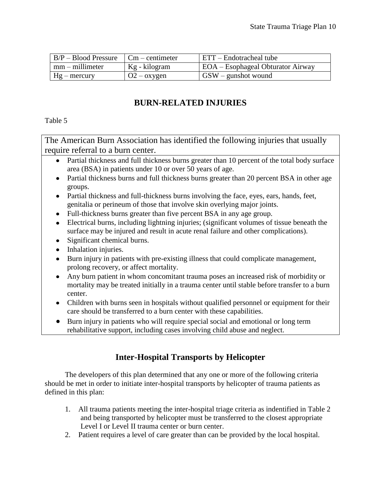| $B/P - Blood Pressure$      | $Cm -$ centimeter  | ETT – Endotracheal tube                  |
|-----------------------------|--------------------|------------------------------------------|
| $\mathsf{Imm}$ – millimeter | Kg - kilogram      | <b>EOA</b> – Esophageal Obturator Airway |
| $Hg$ – mercury              | $Q2 - \alpha$ ygen | $GSW -$ gunshot wound                    |

# **BURN-RELATED INJURIES**

Table 5

The American Burn Association has identified the following injuries that usually require referral to a burn center.

- Partial thickness and full thickness burns greater than 10 percent of the total body surface area (BSA) in patients under 10 or over 50 years of age.
- Partial thickness burns and full thickness burns greater than 20 percent BSA in other age groups.
- Partial thickness and full-thickness burns involving the face, eyes, ears, hands, feet, genitalia or perineum of those that involve skin overlying major joints.
- Full-thickness burns greater than five percent BSA in any age group.
- Electrical burns, including lightning injuries; (significant volumes of tissue beneath the surface may be injured and result in acute renal failure and other complications).
- Significant chemical burns.
- Inhalation injuries.
- Burn injury in patients with pre-existing illness that could complicate management, prolong recovery, or affect mortality.
- Any burn patient in whom concomitant trauma poses an increased risk of morbidity or mortality may be treated initially in a trauma center until stable before transfer to a burn center.
- Children with burns seen in hospitals without qualified personnel or equipment for their care should be transferred to a burn center with these capabilities.
- Burn injury in patients who will require special social and emotional or long term rehabilitative support, including cases involving child abuse and neglect.

# **Inter-Hospital Transports by Helicopter**

The developers of this plan determined that any one or more of the following criteria should be met in order to initiate inter-hospital transports by helicopter of trauma patients as defined in this plan:

- 1. All trauma patients meeting the inter-hospital triage criteria as indentified in Table 2 and being transported by helicopter must be transferred to the closest appropriate Level I or Level II trauma center or burn center.
- 2. Patient requires a level of care greater than can be provided by the local hospital.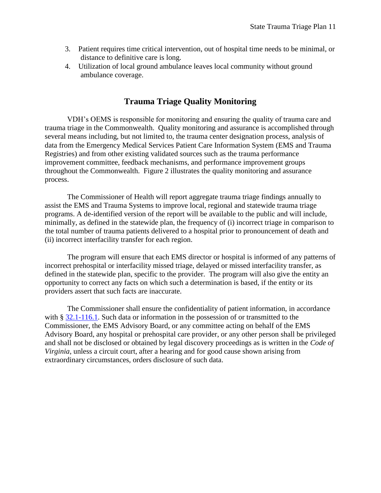- 3. Patient requires time critical intervention, out of hospital time needs to be minimal, or distance to definitive care is long.
- 4. Utilization of local ground ambulance leaves local community without ground ambulance coverage.

## **Trauma Triage Quality Monitoring**

VDH's OEMS is responsible for monitoring and ensuring the quality of trauma care and trauma triage in the Commonwealth. Quality monitoring and assurance is accomplished through several means including, but not limited to, the trauma center designation process, analysis of data from the Emergency Medical Services Patient Care Information System (EMS and Trauma Registries) and from other existing validated sources such as the trauma performance improvement committee, feedback mechanisms, and performance improvement groups throughout the Commonwealth. Figure 2 illustrates the quality monitoring and assurance process.

The Commissioner of Health will report aggregate trauma triage findings annually to assist the EMS and Trauma Systems to improve local, regional and statewide trauma triage programs. A de-identified version of the report will be available to the public and will include, minimally, as defined in the statewide plan, the frequency of (i) incorrect triage in comparison to the total number of trauma patients delivered to a hospital prior to pronouncement of death and (ii) incorrect interfacility transfer for each region.

The program will ensure that each EMS director or hospital is informed of any patterns of incorrect prehospital or interfacility missed triage, delayed or missed interfacility transfer, as defined in the statewide plan, specific to the provider. The program will also give the entity an opportunity to correct any facts on which such a determination is based, if the entity or its providers assert that such facts are inaccurate.

The Commissioner shall ensure the confidentiality of patient information, in accordance with § [32.1-116.1.](http://leg1.state.va.us/cgi-bin/legp504.exe?000+cod+32.1-116.2) Such data or information in the possession of or transmitted to the Commissioner, the EMS Advisory Board, or any committee acting on behalf of the EMS Advisory Board, any hospital or prehospital care provider, or any other person shall be privileged and shall not be disclosed or obtained by legal discovery proceedings as is written in the *Code of Virginia*, unless a circuit court, after a hearing and for good cause shown arising from extraordinary circumstances, orders disclosure of such data.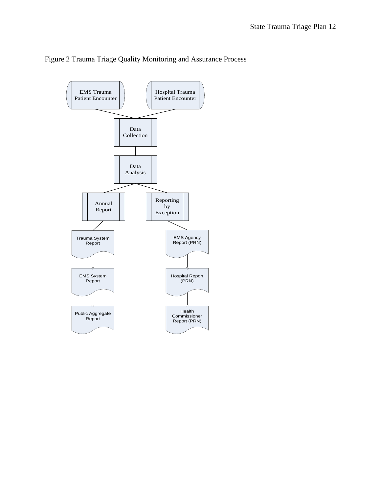

#### Figure 2 Trauma Triage Quality Monitoring and Assurance Process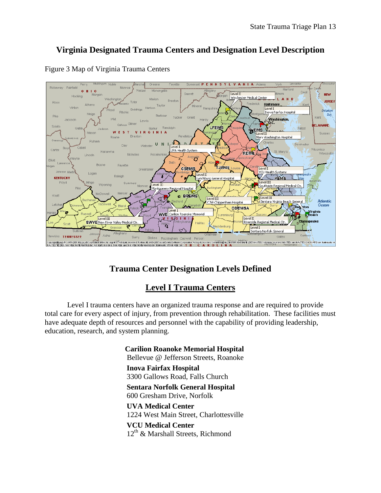# **Virginia Designated Trauma Centers and Designation Level Description**



#### Figure 3 Map of Virginia Trauma Centers

# **Trauma Center Designation Levels Defined**

## **Level I Trauma Centers**

Level I trauma centers have an organized trauma response and are required to provide total care for every aspect of injury, from prevention through rehabilitation. These facilities must have adequate depth of resources and personnel with the capability of providing leadership, education, research, and system planning.

> **Carilion Roanoke Memorial Hospital**  Bellevue @ Jefferson Streets, Roanoke **Inova Fairfax Hospital**  3300 Gallows Road, Falls Church **Sentara Norfolk General Hospital**  600 Gresham Drive, Norfolk **UVA Medical Center**  1224 West Main Street, Charlottesville **VCU Medical Center**   $12<sup>th</sup>$  & Marshall Streets, Richmond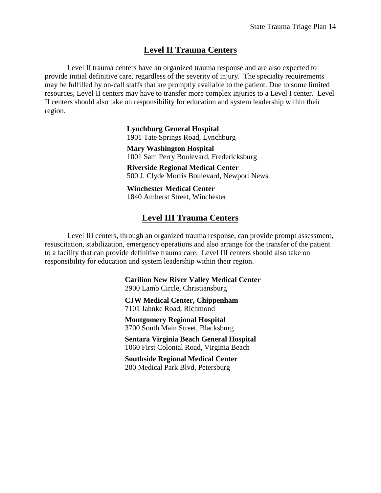### **Level II Trauma Centers**

Level II trauma centers have an organized trauma response and are also expected to provide initial definitive care, regardless of the severity of injury. The specialty requirements may be fulfilled by on-call staffs that are promptly available to the patient. Due to some limited resources, Level II centers may have to transfer more complex injuries to a Level I center. Level II centers should also take on responsibility for education and system leadership within their region.

> **Lynchburg General Hospital**  1901 Tate Springs Road, Lynchburg

**Mary Washington Hospital** 1001 Sam Perry Boulevard, Fredericksburg

**Riverside Regional Medical Center** 500 J. Clyde Morris Boulevard, Newport News

**Winchester Medical Center**  1840 Amherst Street, Winchester

### **Level III Trauma Centers**

Level III centers, through an organized trauma response, can provide prompt assessment, resuscitation, stabilization, emergency operations and also arrange for the transfer of the patient to a facility that can provide definitive trauma care. Level III centers should also take on responsibility for education and system leadership within their region.

> **Carilion New River Valley Medical Center**  2900 Lamb Circle, Christiansburg

**CJW Medical Center, Chippenham**  7101 Jahnke Road, Richmond

**Montgomery Regional Hospital**  3700 South Main Street, Blacksburg

**Sentara Virginia Beach General Hospital**  1060 First Colonial Road, Virginia Beach

**Southside Regional Medical Center**  200 Medical Park Blvd, Petersburg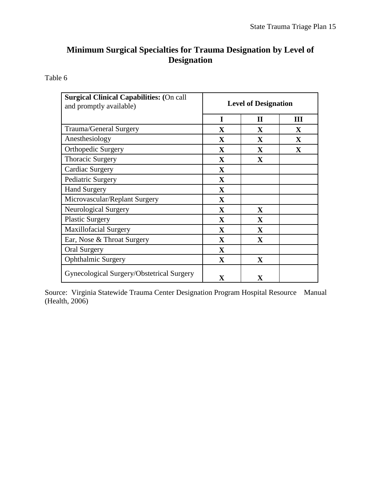# **Minimum Surgical Specialties for Trauma Designation by Level of Designation**

Table 6

| <b>Surgical Clinical Capabilities: (On call</b><br>and promptly available) | <b>Level of Designation</b> |                         |              |
|----------------------------------------------------------------------------|-----------------------------|-------------------------|--------------|
|                                                                            | I                           | $\mathbf{I}$            | Ш            |
| Trauma/General Surgery                                                     | X                           | X                       | X            |
| Anesthesiology                                                             | X                           | $\mathbf{X}$            | $\mathbf{X}$ |
| <b>Orthopedic Surgery</b>                                                  | $\mathbf{X}$                | X                       | $\mathbf{X}$ |
| <b>Thoracic Surgery</b>                                                    | $\mathbf{X}$                | X                       |              |
| Cardiac Surgery                                                            | $\mathbf{X}$                |                         |              |
| Pediatric Surgery                                                          | $\mathbf X$                 |                         |              |
| <b>Hand Surgery</b>                                                        | $\mathbf{X}$                |                         |              |
| Microvascular/Replant Surgery                                              | $\mathbf{X}$                |                         |              |
| <b>Neurological Surgery</b>                                                | $\mathbf{X}$                | $\mathbf{X}$            |              |
| <b>Plastic Surgery</b>                                                     | $\mathbf{X}$                | $\mathbf{X}$            |              |
| <b>Maxillofacial Surgery</b>                                               | $\mathbf X$                 | $\mathbf{X}$            |              |
| Ear, Nose & Throat Surgery                                                 | $\mathbf X$                 | X                       |              |
| <b>Oral Surgery</b>                                                        | $\mathbf X$                 |                         |              |
| <b>Ophthalmic Surgery</b>                                                  | X                           | $\mathbf X$             |              |
| Gynecological Surgery/Obstetrical Surgery                                  | X                           | $\overline{\mathbf{X}}$ |              |

Source: Virginia Statewide Trauma Center Designation Program Hospital Resource Manual (Health, 2006)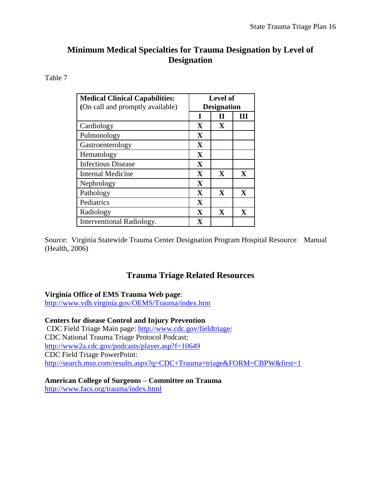# **Minimum Medical Specialties for Trauma Designation by Level of Designation**

#### Table 7

| <b>Medical Clinical Capabilities:</b> | Level of           |              |              |
|---------------------------------------|--------------------|--------------|--------------|
| (On call and promptly available)      | <b>Designation</b> |              |              |
|                                       | T                  |              | Ш            |
| Cardiology                            | X                  | $\mathbf{X}$ |              |
| Pulmonology                           | X                  |              |              |
| Gastroenterology                      | X                  |              |              |
| Hematology                            | X                  |              |              |
| <b>Infectious Disease</b>             | X                  |              |              |
| <b>Internal Medicine</b>              | X                  | $\mathbf{X}$ | $\mathbf{X}$ |
| Nephrology                            | X                  |              |              |
| Pathology                             | X                  | $\mathbf{X}$ | $\mathbf{X}$ |
| Pediatrics                            | X                  |              |              |
| Radiology                             | X                  | $\mathbf{X}$ | $\mathbf x$  |
| Interventional Radiology.             | $\mathbf X$        |              |              |

Source: Virginia Statewide Trauma Center Designation Program Hospital Resource Manual (Health, 2006)

# **Trauma Triage Related Resources**

#### **Virginia Office of EMS Trauma Web page**:

<http://www.vdh.virginia.gov/OEMS/Trauma/index.htm>

#### **Centers for disease Control and Injury Prevention**

CDC Field Triage Main page:<http://www.cdc.gov/fieldtriage/> CDC National Trauma Triage Protocol Podcast: <http://www2a.cdc.gov/podcasts/player.asp?f=10649> CDC Field Triage PowerPoint: <http://search.msn.com/results.aspx?q=CDC+Trauma+triage&FORM=CBPW&first=1>

## **American College of Surgeons – Committee on Trauma**

<http://www.facs.org/trauma/index.html>